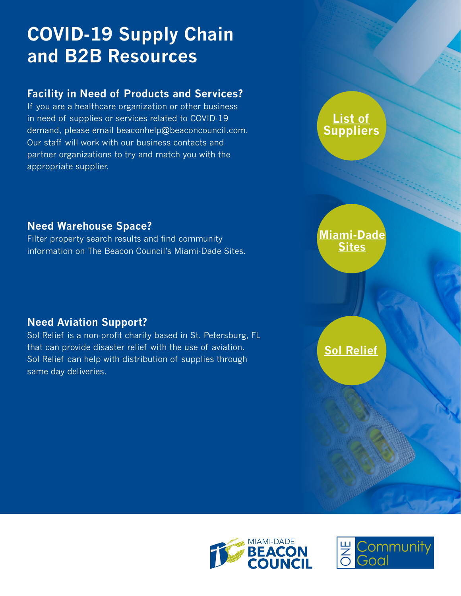# **COVID-19 Supply Chain and B2B Resources**

### **Facility in Need of Products and Services?**

If you are a healthcare organization or other business in need of supplies or services related to COVID-19 demand, please email beaconhelp@beaconcouncil.com. Our staff will work with our business contacts and partner organizations to try and match you with the appropriate supplier.

### **Need Warehouse Space?**

Filter property search results and find community information on The Beacon Council's Miami-Dade Sites.

## **Need Aviation Support?**

Sol Relief is a non-profit charity based in St. Petersburg, FL that can provide disaster relief with the use of aviation. Sol Relief can help with distribution of supplies through same day deliveries.

**List of [Suppliers](https://drive.google.com/file/d/1tY6ltGTsHLnoFGaqykVA0LZiK3IIr6hK/view)**

## **[Miami-Dade](https://www.miamidadesites.com/?page=1&s%5BSortDirection%5D=true&s%5BSortBy%5D=featured) Sites**

## **[Sol Relief](https://solrelief.org/)**